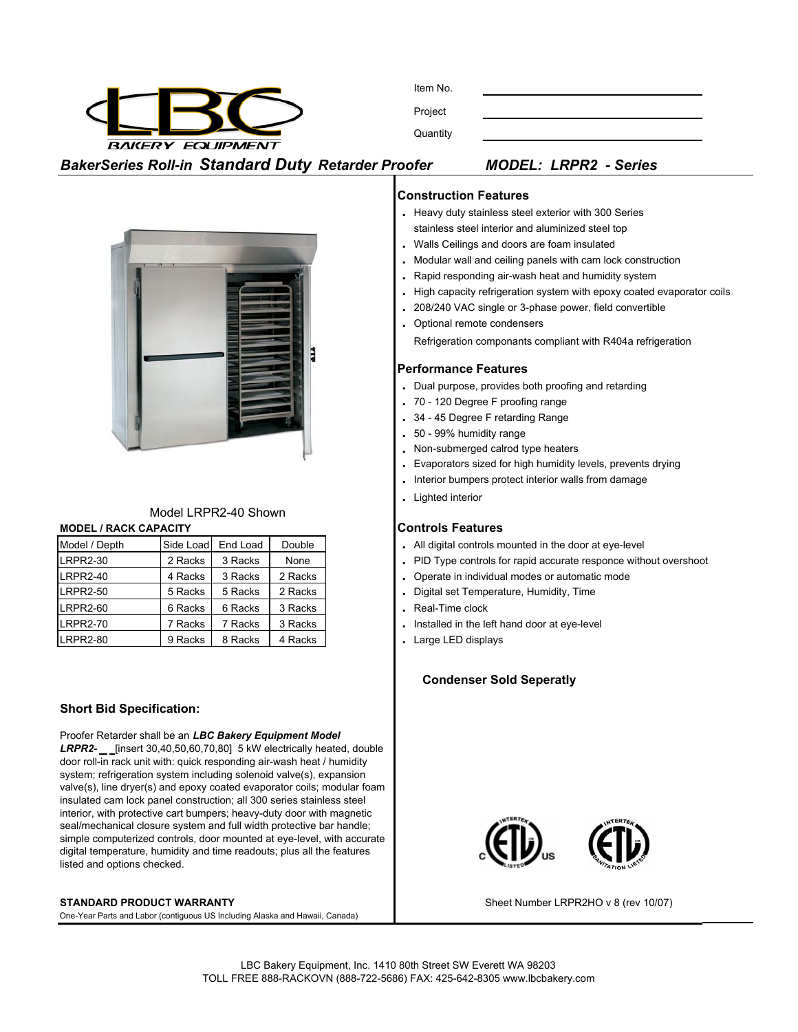

Item No.

Project

**Quantity** 

# *BakerSeries Roll-in Standard Duty Retarder Proofer MODEL: LRPR2 - Series*



# Model LRPR2-40 Shown

| <b>MODEL / RACK CAPACITY</b> | <b>Controls Features</b> |                    |        |  |                        |
|------------------------------|--------------------------|--------------------|--------|--|------------------------|
| Model / Depth                |                          | Side Load End Load | Double |  | All digital controls m |

| ----------- | ------- | -----   |
|-------------|---------|---------|
| 2 Racks     | 3 Racks | None    |
| 4 Racks     | 3 Racks | 2 Racks |
| 5 Racks     | 5 Racks | 2 Racks |
| 6 Racks     | 6 Racks | 3 Racks |
| 7 Racks     | 7 Racks | 3 Racks |
| 9 Racks     | 8 Racks | 4 Racks |
|             |         |         |

### **Short Bid Specification:**

Proofer Retarder shall be an *LBC Bakery Equipment Model*  LRPR2- \_\_ [insert 30,40,50,60,70,80] 5 kW electrically heated, double door roll-in rack unit with: quick responding air-wash heat / humidity system; refrigeration system including solenoid valve(s), expansion valve(s), line dryer(s) and epoxy coated evaporator coils; modular foam insulated cam lock panel construction; all 300 series stainless steel interior, with protective cart bumpers; heavy-duty door with magnetic seal/mechanical closure system and full width protective bar handle; simple computerized controls, door mounted at eye-level, with accurate digital temperature, humidity and time readouts; plus all the features listed and options checked.

### **STANDARD PRODUCT WARRANTY**

One-Year Parts and Labor (contiguous US Including Alaska and Hawaii, Canada)

### **Construction Features**

- **.** Heavy duty stainless steel exterior with 300 Series stainless steel interior and aluminized steel top
- **.** Walls Ceilings and doors are foam insulated
- **.** Modular wall and ceiling panels with cam lock construction
- **.** Rapid responding air-wash heat and humidity system
- **.** High capacity refrigeration system with epoxy coated evaporator coils
- **.** 208/240 VAC single or 3-phase power, field convertible
- **.** Optional remote condensers
	- Refrigeration componants compliant with R404a refrigeration

### **Performance Features**

- **.** Dual purpose, provides both proofing and retarding
- **.** 70 120 Degree F proofing range
- **.** 34 45 Degree F retarding Range
- **.** 50 99% humidity range
- **.** Non-submerged calrod type heaters
- **.** Evaporators sized for high humidity levels, prevents drying
- **.** Interior bumpers protect interior walls from damage
- **.** Lighted interior

- . All digital controls mounted in the door at eye-level
- . PID Type controls for rapid accurate responce without overshoot
- . Operate in individual modes or automatic mode
- **Digital set Temperature, Humidity, Time**
- . Real-Time clock
- . Installed in the left hand door at eye-level
- . Large LED displays

### **Condenser Sold Seperatly**



Sheet Number LRPR2HO v 8 (rev 10/07)